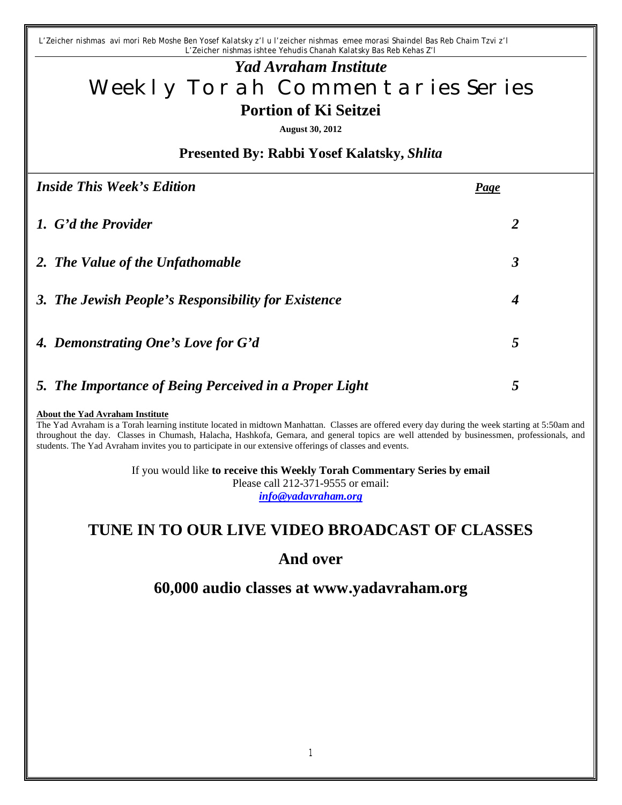*L'Zeicher nishmas avi mori Reb Moshe Ben Yosef Kalatsky z'l u l'zeicher nishmas emee morasi Shaindel Bas Reb Chaim Tzvi z'l L'Zeicher nishmas ishtee Yehudis Chanah Kalatsky Bas Reb Kehas Z'l*

# *Yad Avraham Institute* Weekly Torah Commentaries Series **Portion of Ki Seitzei**

**August 30, 2012**

### **Presented By: Rabbi Yosef Kalatsky,** *Shlita*

| <b>Inside This Week's Edition</b>                      | Page                 |
|--------------------------------------------------------|----------------------|
| 1. G'd the Provider                                    | 2                    |
| 2. The Value of the Unfathomable                       | $\boldsymbol{\beta}$ |
| 3. The Jewish People's Responsibility for Existence    | $\boldsymbol{4}$     |
| 4. Demonstrating One's Love for G'd                    | 5                    |
| 5. The Importance of Being Perceived in a Proper Light | 5                    |

#### **About the Yad Avraham Institute**

The Yad Avraham is a Torah learning institute located in midtown Manhattan. Classes are offered every day during the week starting at 5:50am and throughout the day. Classes in Chumash, Halacha, Hashkofa, Gemara, and general topics are well attended by businessmen, professionals, and students. The Yad Avraham invites you to participate in our extensive offerings of classes and events.

> If you would like **to receive this Weekly Torah Commentary Series by email** Please call 212-371-9555 or email: *info@yadavraham.org*

## **TUNE IN TO OUR LIVE VIDEO BROADCAST OF CLASSES**

## **And over**

**60,000 audio classes at www.yadavraham.org**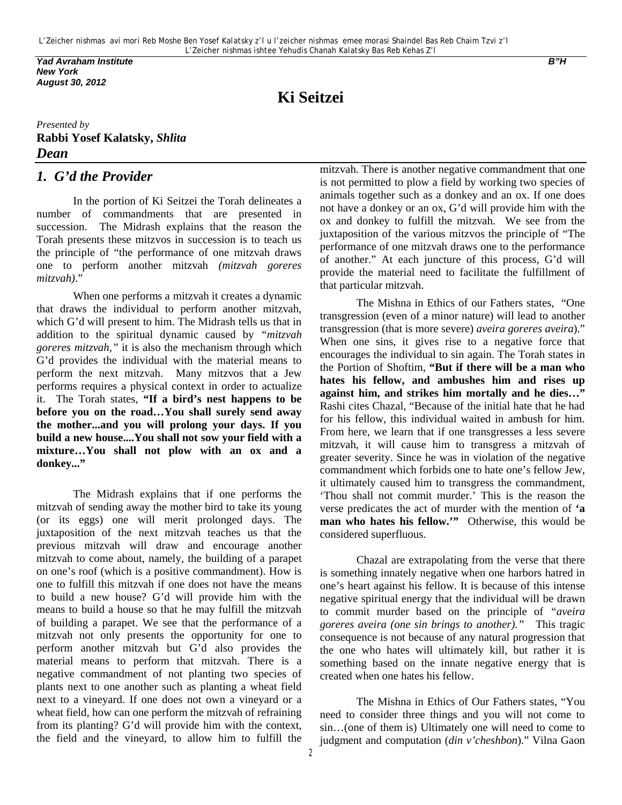*Yad Avraham Institute B"H New York August 30, 2012*

**Ki Seitzei**

#### *Presented by* **Rabbi Yosef Kalatsky,** *Shlita Dean*

#### *1. G'd the Provider*

In the portion of Ki Seitzei the Torah delineates a number of commandments that are presented in succession. The Midrash explains that the reason the Torah presents these mitzvos in succession is to teach us the principle of "the performance of one mitzvah draws one to perform another mitzvah *(mitzvah goreres mitzvah)*."

When one performs a mitzvah it creates a dynamic that draws the individual to perform another mitzvah, which G'd will present to him. The Midrash tells us that in addition to the spiritual dynamic caused by *"mitzvah goreres mitzvah,"* it is also the mechanism through which G'd provides the individual with the material means to perform the next mitzvah. Many mitzvos that a Jew performs requires a physical context in order to actualize it. The Torah states, **"If a bird's nest happens to be before you on the road…You shall surely send away the mother...and you will prolong your days. If you build a new house....You shall not sow your field with a mixture…You shall not plow with an ox and a donkey..."**

The Midrash explains that if one performs the mitzvah of sending away the mother bird to take its young (or its eggs) one will merit prolonged days. The juxtaposition of the next mitzvah teaches us that the previous mitzvah will draw and encourage another mitzvah to come about, namely, the building of a parapet on one's roof (which is a positive commandment). How is one to fulfill this mitzvah if one does not have the means to build a new house? G'd will provide him with the means to build a house so that he may fulfill the mitzvah of building a parapet. We see that the performance of a mitzvah not only presents the opportunity for one to perform another mitzvah but G'd also provides the material means to perform that mitzvah. There is a negative commandment of not planting two species of plants next to one another such as planting a wheat field next to a vineyard. If one does not own a vineyard or a wheat field, how can one perform the mitzvah of refraining from its planting? G'd will provide him with the context, the field and the vineyard, to allow him to fulfill the

mitzvah. There is another negative commandment that one is not permitted to plow a field by working two species of animals together such as a donkey and an ox. If one does not have a donkey or an ox, G'd will provide him with the ox and donkey to fulfill the mitzvah. We see from the juxtaposition of the various mitzvos the principle of "The performance of one mitzvah draws one to the performance of another." At each juncture of this process, G'd will provide the material need to facilitate the fulfillment of that particular mitzvah.

The Mishna in Ethics of our Fathers states, "One transgression (even of a minor nature) will lead to another transgression (that is more severe) *aveira goreres aveira*)." When one sins, it gives rise to a negative force that encourages the individual to sin again. The Torah states in the Portion of Shoftim, **"But if there will be a man who hates his fellow, and ambushes him and rises up against him, and strikes him mortally and he dies…"** Rashi cites Chazal, "Because of the initial hate that he had for his fellow, this individual waited in ambush for him. From here, we learn that if one transgresses a less severe mitzvah, it will cause him to transgress a mitzvah of greater severity. Since he was in violation of the negative commandment which forbids one to hate one's fellow Jew, it ultimately caused him to transgress the commandment, 'Thou shall not commit murder.' This is the reason the verse predicates the act of murder with the mention of **'a man who hates his fellow.'"** Otherwise, this would be considered superfluous.

Chazal are extrapolating from the verse that there is something innately negative when one harbors hatred in one's heart against his fellow. It is because of this intense negative spiritual energy that the individual will be drawn to commit murder based on the principle of *"aveira goreres aveira (one sin brings to another)."* This tragic consequence is not because of any natural progression that the one who hates will ultimately kill, but rather it is something based on the innate negative energy that is created when one hates his fellow.

The Mishna in Ethics of Our Fathers states, "You need to consider three things and you will not come to sin…(one of them is) Ultimately one will need to come to judgment and computation (*din v'cheshbon*)." Vilna Gaon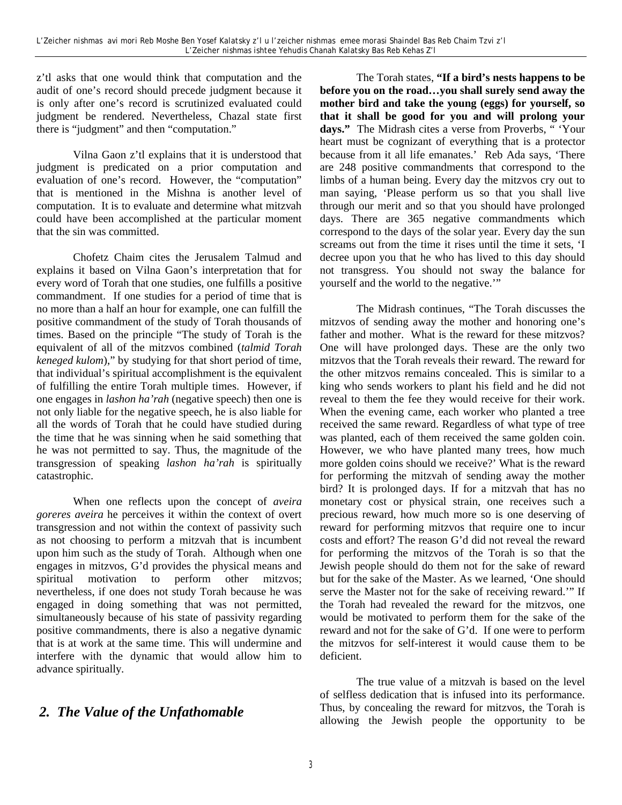z'tl asks that one would think that computation and the audit of one's record should precede judgment because it is only after one's record is scrutinized evaluated could judgment be rendered. Nevertheless, Chazal state first there is "judgment" and then "computation."

Vilna Gaon z'tl explains that it is understood that judgment is predicated on a prior computation and evaluation of one's record. However, the "computation" that is mentioned in the Mishna is another level of computation. It is to evaluate and determine what mitzvah could have been accomplished at the particular moment that the sin was committed.

Chofetz Chaim cites the Jerusalem Talmud and explains it based on Vilna Gaon's interpretation that for every word of Torah that one studies, one fulfills a positive commandment. If one studies for a period of time that is no more than a half an hour for example, one can fulfill the positive commandment of the study of Torah thousands of times. Based on the principle "The study of Torah is the equivalent of all of the mitzvos combined (*talmid Torah keneged kulom*)," by studying for that short period of time, that individual's spiritual accomplishment is the equivalent of fulfilling the entire Torah multiple times. However, if one engages in *lashon ha'rah* (negative speech) then one is not only liable for the negative speech, he is also liable for all the words of Torah that he could have studied during the time that he was sinning when he said something that he was not permitted to say. Thus, the magnitude of the transgression of speaking *lashon ha'rah* is spiritually catastrophic.

When one reflects upon the concept of *aveira goreres aveira* he perceives it within the context of overt transgression and not within the context of passivity such as not choosing to perform a mitzvah that is incumbent upon him such as the study of Torah. Although when one engages in mitzvos, G'd provides the physical means and spiritual motivation to perform other mitzvos; nevertheless, if one does not study Torah because he was engaged in doing something that was not permitted, simultaneously because of his state of passivity regarding positive commandments, there is also a negative dynamic that is at work at the same time. This will undermine and interfere with the dynamic that would allow him to advance spiritually.

## *2. The Value of the Unfathomable*

The Torah states, **"If a bird's nests happens to be before you on the road…you shall surely send away the mother bird and take the young (eggs) for yourself, so that it shall be good for you and will prolong your days."** The Midrash cites a verse from Proverbs, " 'Your heart must be cognizant of everything that is a protector because from it all life emanates.' Reb Ada says, 'There are 248 positive commandments that correspond to the limbs of a human being. Every day the mitzvos cry out to man saying, 'Please perform us so that you shall live through our merit and so that you should have prolonged days. There are 365 negative commandments which correspond to the days of the solar year. Every day the sun screams out from the time it rises until the time it sets, 'I decree upon you that he who has lived to this day should not transgress. You should not sway the balance for yourself and the world to the negative.'"

The Midrash continues, "The Torah discusses the mitzvos of sending away the mother and honoring one's father and mother. What is the reward for these mitzvos? One will have prolonged days. These are the only two mitzvos that the Torah reveals their reward. The reward for the other mitzvos remains concealed. This is similar to a king who sends workers to plant his field and he did not reveal to them the fee they would receive for their work. When the evening came, each worker who planted a tree received the same reward. Regardless of what type of tree was planted, each of them received the same golden coin. However, we who have planted many trees, how much more golden coins should we receive?' What is the reward for performing the mitzvah of sending away the mother bird? It is prolonged days. If for a mitzvah that has no monetary cost or physical strain, one receives such a precious reward, how much more so is one deserving of reward for performing mitzvos that require one to incur costs and effort? The reason G'd did not reveal the reward for performing the mitzvos of the Torah is so that the Jewish people should do them not for the sake of reward but for the sake of the Master. As we learned, 'One should serve the Master not for the sake of receiving reward.'" If the Torah had revealed the reward for the mitzvos, one would be motivated to perform them for the sake of the reward and not for the sake of G'd. If one were to perform the mitzvos for self-interest it would cause them to be deficient.

The true value of a mitzvah is based on the level of selfless dedication that is infused into its performance. Thus, by concealing the reward for mitzvos, the Torah is allowing the Jewish people the opportunity to be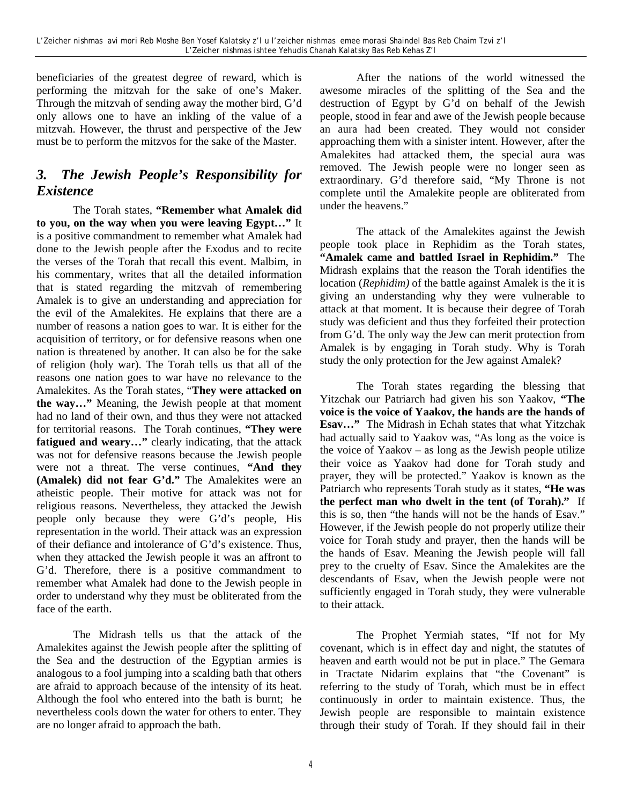beneficiaries of the greatest degree of reward, which is performing the mitzvah for the sake of one's Maker. Through the mitzvah of sending away the mother bird, G'd only allows one to have an inkling of the value of a mitzvah. However, the thrust and perspective of the Jew must be to perform the mitzvos for the sake of the Master.

## *3. The Jewish People's Responsibility for Existence*

The Torah states, **"Remember what Amalek did to you, on the way when you were leaving Egypt…"** It is a positive commandment to remember what Amalek had done to the Jewish people after the Exodus and to recite the verses of the Torah that recall this event. Malbim, in his commentary, writes that all the detailed information that is stated regarding the mitzvah of remembering Amalek is to give an understanding and appreciation for the evil of the Amalekites. He explains that there are a number of reasons a nation goes to war. It is either for the acquisition of territory, or for defensive reasons when one nation is threatened by another. It can also be for the sake of religion (holy war). The Torah tells us that all of the reasons one nation goes to war have no relevance to the Amalekites. As the Torah states, "**They were attacked on the way…"** Meaning, the Jewish people at that moment had no land of their own, and thus they were not attacked for territorial reasons. The Torah continues, **"They were fatigued and weary…"** clearly indicating, that the attack was not for defensive reasons because the Jewish people were not a threat. The verse continues, **"And they (Amalek) did not fear G'd."** The Amalekites were an atheistic people. Their motive for attack was not for religious reasons. Nevertheless, they attacked the Jewish people only because they were G'd's people, His representation in the world. Their attack was an expression of their defiance and intolerance of G'd's existence. Thus, when they attacked the Jewish people it was an affront to G'd. Therefore, there is a positive commandment to remember what Amalek had done to the Jewish people in order to understand why they must be obliterated from the face of the earth.

The Midrash tells us that the attack of the Amalekites against the Jewish people after the splitting of the Sea and the destruction of the Egyptian armies is analogous to a fool jumping into a scalding bath that others are afraid to approach because of the intensity of its heat. Although the fool who entered into the bath is burnt; he nevertheless cools down the water for others to enter. They are no longer afraid to approach the bath.

After the nations of the world witnessed the awesome miracles of the splitting of the Sea and the destruction of Egypt by G'd on behalf of the Jewish people, stood in fear and awe of the Jewish people because an aura had been created. They would not consider approaching them with a sinister intent. However, after the Amalekites had attacked them, the special aura was removed. The Jewish people were no longer seen as extraordinary. G'd therefore said, "My Throne is not complete until the Amalekite people are obliterated from under the heavens."

The attack of the Amalekites against the Jewish people took place in Rephidim as the Torah states, **"Amalek came and battled Israel in Rephidim."** The Midrash explains that the reason the Torah identifies the location (*Rephidim)* of the battle against Amalek is the it is giving an understanding why they were vulnerable to attack at that moment. It is because their degree of Torah study was deficient and thus they forfeited their protection from G'd. The only way the Jew can merit protection from Amalek is by engaging in Torah study. Why is Torah study the only protection for the Jew against Amalek?

The Torah states regarding the blessing that Yitzchak our Patriarch had given his son Yaakov, **"The voice is the voice of Yaakov, the hands are the hands of Esav…"** The Midrash in Echah states that what Yitzchak had actually said to Yaakov was, "As long as the voice is the voice of Yaakov – as long as the Jewish people utilize their voice as Yaakov had done for Torah study and prayer, they will be protected." Yaakov is known as the Patriarch who represents Torah study as it states, **"He was the perfect man who dwelt in the tent (of Torah)."** If this is so, then "the hands will not be the hands of Esav." However, if the Jewish people do not properly utilize their voice for Torah study and prayer, then the hands will be the hands of Esav. Meaning the Jewish people will fall prey to the cruelty of Esav. Since the Amalekites are the descendants of Esav, when the Jewish people were not sufficiently engaged in Torah study, they were vulnerable to their attack.

The Prophet Yermiah states, "If not for My covenant, which is in effect day and night, the statutes of heaven and earth would not be put in place." The Gemara in Tractate Nidarim explains that "the Covenant" is referring to the study of Torah, which must be in effect continuously in order to maintain existence. Thus, the Jewish people are responsible to maintain existence through their study of Torah. If they should fail in their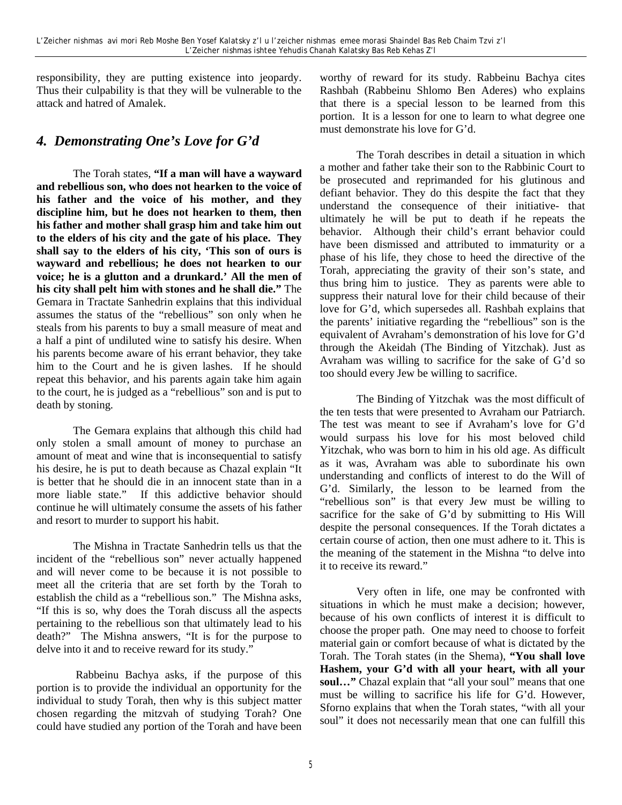responsibility, they are putting existence into jeopardy. Thus their culpability is that they will be vulnerable to the attack and hatred of Amalek.

### *4. Demonstrating One's Love for G'd*

The Torah states, **"If a man will have a wayward and rebellious son, who does not hearken to the voice of his father and the voice of his mother, and they discipline him, but he does not hearken to them, then his father and mother shall grasp him and take him out to the elders of his city and the gate of his place. They shall say to the elders of his city, 'This son of ours is wayward and rebellious; he does not hearken to our voice; he is a glutton and a drunkard.' All the men of his city shall pelt him with stones and he shall die."** The Gemara in Tractate Sanhedrin explains that this individual assumes the status of the "rebellious" son only when he steals from his parents to buy a small measure of meat and a half a pint of undiluted wine to satisfy his desire. When his parents become aware of his errant behavior, they take him to the Court and he is given lashes. If he should repeat this behavior, and his parents again take him again to the court, he is judged as a "rebellious" son and is put to death by stoning.

The Gemara explains that although this child had only stolen a small amount of money to purchase an amount of meat and wine that is inconsequential to satisfy his desire, he is put to death because as Chazal explain "It is better that he should die in an innocent state than in a more liable state." If this addictive behavior should continue he will ultimately consume the assets of his father and resort to murder to support his habit.

The Mishna in Tractate Sanhedrin tells us that the incident of the "rebellious son" never actually happened and will never come to be because it is not possible to meet all the criteria that are set forth by the Torah to establish the child as a "rebellious son." The Mishna asks, "If this is so, why does the Torah discuss all the aspects pertaining to the rebellious son that ultimately lead to his death?" The Mishna answers, "It is for the purpose to delve into it and to receive reward for its study."

 Rabbeinu Bachya asks, if the purpose of this portion is to provide the individual an opportunity for the individual to study Torah, then why is this subject matter chosen regarding the mitzvah of studying Torah? One could have studied any portion of the Torah and have been worthy of reward for its study. Rabbeinu Bachya cites Rashbah (Rabbeinu Shlomo Ben Aderes) who explains that there is a special lesson to be learned from this portion. It is a lesson for one to learn to what degree one must demonstrate his love for G'd.

The Torah describes in detail a situation in which a mother and father take their son to the Rabbinic Court to be prosecuted and reprimanded for his glutinous and defiant behavior. They do this despite the fact that they understand the consequence of their initiative- that ultimately he will be put to death if he repeats the behavior. Although their child's errant behavior could have been dismissed and attributed to immaturity or a phase of his life, they chose to heed the directive of the Torah, appreciating the gravity of their son's state, and thus bring him to justice. They as parents were able to suppress their natural love for their child because of their love for G'd, which supersedes all. Rashbah explains that the parents' initiative regarding the "rebellious" son is the equivalent of Avraham's demonstration of his love for G'd through the Akeidah (The Binding of Yitzchak). Just as Avraham was willing to sacrifice for the sake of G'd so too should every Jew be willing to sacrifice.

The Binding of Yitzchak was the most difficult of the ten tests that were presented to Avraham our Patriarch. The test was meant to see if Avraham's love for G'd would surpass his love for his most beloved child Yitzchak, who was born to him in his old age. As difficult as it was, Avraham was able to subordinate his own understanding and conflicts of interest to do the Will of G'd. Similarly, the lesson to be learned from the "rebellious son" is that every Jew must be willing to sacrifice for the sake of G'd by submitting to His Will despite the personal consequences. If the Torah dictates a certain course of action, then one must adhere to it. This is the meaning of the statement in the Mishna "to delve into it to receive its reward."

Very often in life, one may be confronted with situations in which he must make a decision; however, because of his own conflicts of interest it is difficult to choose the proper path. One may need to choose to forfeit material gain or comfort because of what is dictated by the Torah. The Torah states (in the Shema), **"You shall love Hashem, your G'd with all your heart, with all your soul…"** Chazal explain that "all your soul" means that one must be willing to sacrifice his life for G'd. However, Sforno explains that when the Torah states, "with all your soul" it does not necessarily mean that one can fulfill this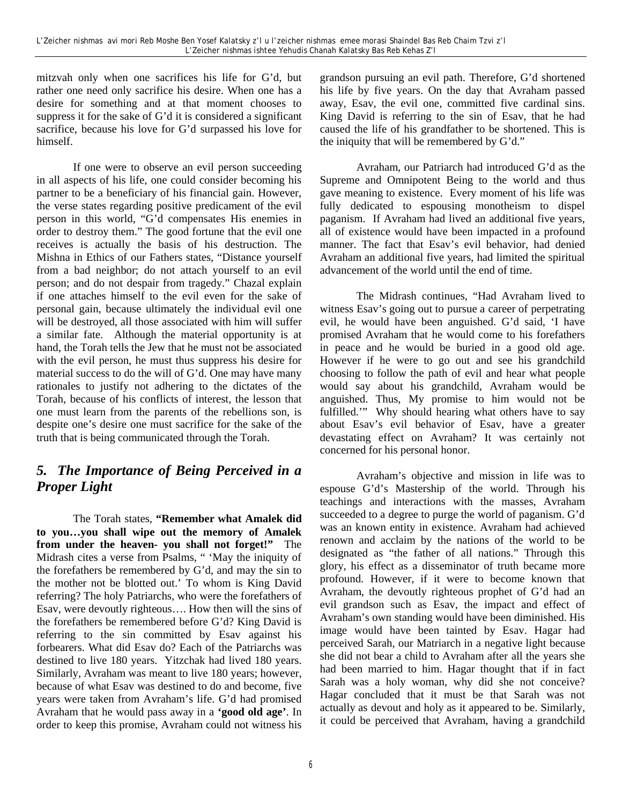mitzvah only when one sacrifices his life for G'd, but rather one need only sacrifice his desire. When one has a desire for something and at that moment chooses to suppress it for the sake of G'd it is considered a significant sacrifice, because his love for G'd surpassed his love for himself.

If one were to observe an evil person succeeding in all aspects of his life, one could consider becoming his partner to be a beneficiary of his financial gain. However, the verse states regarding positive predicament of the evil person in this world, "G'd compensates His enemies in order to destroy them." The good fortune that the evil one receives is actually the basis of his destruction. The Mishna in Ethics of our Fathers states, "Distance yourself from a bad neighbor; do not attach yourself to an evil person; and do not despair from tragedy." Chazal explain if one attaches himself to the evil even for the sake of personal gain, because ultimately the individual evil one will be destroyed, all those associated with him will suffer a similar fate. Although the material opportunity is at hand, the Torah tells the Jew that he must not be associated with the evil person, he must thus suppress his desire for material success to do the will of G'd. One may have many rationales to justify not adhering to the dictates of the Torah, because of his conflicts of interest, the lesson that one must learn from the parents of the rebellions son, is despite one's desire one must sacrifice for the sake of the truth that is being communicated through the Torah.

## *5. The Importance of Being Perceived in a Proper Light*

The Torah states, **"Remember what Amalek did to you…you shall wipe out the memory of Amalek from under the heaven- you shall not forget!"** The Midrash cites a verse from Psalms, " 'May the iniquity of the forefathers be remembered by G'd, and may the sin to the mother not be blotted out.' To whom is King David referring? The holy Patriarchs, who were the forefathers of Esav, were devoutly righteous…. How then will the sins of the forefathers be remembered before G'd? King David is referring to the sin committed by Esav against his forbearers. What did Esav do? Each of the Patriarchs was destined to live 180 years. Yitzchak had lived 180 years. Similarly, Avraham was meant to live 180 years; however, because of what Esav was destined to do and become, five years were taken from Avraham's life. G'd had promised Avraham that he would pass away in a **'good old age'**. In order to keep this promise, Avraham could not witness his

grandson pursuing an evil path. Therefore, G'd shortened his life by five years. On the day that Avraham passed away, Esav, the evil one, committed five cardinal sins. King David is referring to the sin of Esav, that he had caused the life of his grandfather to be shortened. This is the iniquity that will be remembered by G'd."

Avraham, our Patriarch had introduced G'd as the Supreme and Omnipotent Being to the world and thus gave meaning to existence. Every moment of his life was fully dedicated to espousing monotheism to dispel paganism. If Avraham had lived an additional five years, all of existence would have been impacted in a profound manner. The fact that Esav's evil behavior, had denied Avraham an additional five years, had limited the spiritual advancement of the world until the end of time.

The Midrash continues, "Had Avraham lived to witness Esav's going out to pursue a career of perpetrating evil, he would have been anguished. G'd said, 'I have promised Avraham that he would come to his forefathers in peace and he would be buried in a good old age. However if he were to go out and see his grandchild choosing to follow the path of evil and hear what people would say about his grandchild, Avraham would be anguished. Thus, My promise to him would not be fulfilled." Why should hearing what others have to say about Esav's evil behavior of Esav, have a greater devastating effect on Avraham? It was certainly not concerned for his personal honor.

Avraham's objective and mission in life was to espouse G'd's Mastership of the world. Through his teachings and interactions with the masses, Avraham succeeded to a degree to purge the world of paganism. G'd was an known entity in existence. Avraham had achieved renown and acclaim by the nations of the world to be designated as "the father of all nations." Through this glory, his effect as a disseminator of truth became more profound. However, if it were to become known that Avraham, the devoutly righteous prophet of G'd had an evil grandson such as Esav, the impact and effect of Avraham's own standing would have been diminished. His image would have been tainted by Esav. Hagar had perceived Sarah, our Matriarch in a negative light because she did not bear a child to Avraham after all the years she had been married to him. Hagar thought that if in fact Sarah was a holy woman, why did she not conceive? Hagar concluded that it must be that Sarah was not actually as devout and holy as it appeared to be. Similarly, it could be perceived that Avraham, having a grandchild